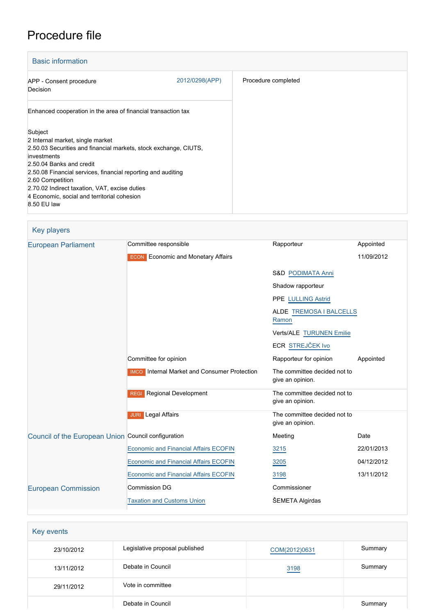# Procedure file

| <b>Basic information</b>                                                                                                                                                                                                                                                                                                                                      |                |                     |
|---------------------------------------------------------------------------------------------------------------------------------------------------------------------------------------------------------------------------------------------------------------------------------------------------------------------------------------------------------------|----------------|---------------------|
| APP - Consent procedure<br><b>Decision</b>                                                                                                                                                                                                                                                                                                                    | 2012/0298(APP) | Procedure completed |
| Enhanced cooperation in the area of financial transaction tax                                                                                                                                                                                                                                                                                                 |                |                     |
| Subject<br>2 Internal market, single market<br>2.50.03 Securities and financial markets, stock exchange, CIUTS,<br>investments<br>2.50.04 Banks and credit<br>2.50.08 Financial services, financial reporting and auditing<br>2.60 Competition<br>2.70.02 Indirect taxation, VAT, excise duties<br>4 Economic, social and territorial cohesion<br>8.50 EU law |                |                     |

| <b>Key players</b>                                  |                                                     |                                                  |            |
|-----------------------------------------------------|-----------------------------------------------------|--------------------------------------------------|------------|
| <b>European Parliament</b>                          | Committee responsible                               | Rapporteur                                       | Appointed  |
|                                                     | <b>ECON</b> Economic and Monetary Affairs           |                                                  | 11/09/2012 |
|                                                     |                                                     | <b>S&amp;D PODIMATA Anni</b>                     |            |
|                                                     |                                                     | Shadow rapporteur                                |            |
|                                                     |                                                     | PPE LULLING Astrid                               |            |
|                                                     |                                                     | ALDE TREMOSA I BALCELLS<br>Ramon                 |            |
|                                                     |                                                     | Verts/ALE TURUNEN Emilie                         |            |
|                                                     |                                                     | ECR STREJČEK Ivo                                 |            |
|                                                     | Committee for opinion                               | Rapporteur for opinion                           | Appointed  |
|                                                     | <b>IMCO</b> Internal Market and Consumer Protection | The committee decided not to<br>give an opinion. |            |
|                                                     | <b>REGI</b> Regional Development                    | The committee decided not to<br>give an opinion. |            |
|                                                     | <b>JURI</b> Legal Affairs                           | The committee decided not to<br>give an opinion. |            |
| Council of the European Union Council configuration |                                                     | Meeting                                          | Date       |
|                                                     | <b>Economic and Financial Affairs ECOFIN</b>        | 3215                                             | 22/01/2013 |
|                                                     | <b>Economic and Financial Affairs ECOFIN</b>        | 3205                                             | 04/12/2012 |
|                                                     | <b>Economic and Financial Affairs ECOFIN</b>        | 3198                                             | 13/11/2012 |
| <b>European Commission</b>                          | <b>Commission DG</b>                                | Commissioner                                     |            |
|                                                     | <b>Taxation and Customs Union</b>                   | ŠEMETA Algirdas                                  |            |

| Key events |                                |               |         |
|------------|--------------------------------|---------------|---------|
| 23/10/2012 | Legislative proposal published | COM(2012)0631 | Summary |
| 13/11/2012 | Debate in Council              | 3198          | Summary |
| 29/11/2012 | Vote in committee              |               |         |
|            | Debate in Council              |               | Summary |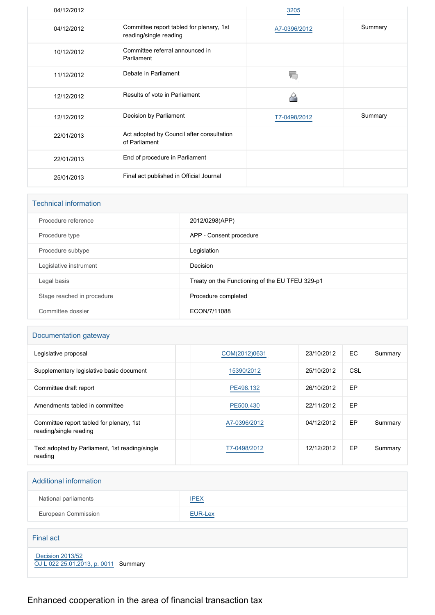| 04/12/2012 |                                                                    | 3205         |         |
|------------|--------------------------------------------------------------------|--------------|---------|
| 04/12/2012 | Committee report tabled for plenary, 1st<br>reading/single reading | A7-0396/2012 | Summary |
| 10/12/2012 | Committee referral announced in<br>Parliament                      |              |         |
| 11/12/2012 | Debate in Parliament                                               |              |         |
| 12/12/2012 | Results of vote in Parliament                                      |              |         |
| 12/12/2012 | Decision by Parliament                                             | T7-0498/2012 | Summary |
| 22/01/2013 | Act adopted by Council after consultation<br>of Parliament         |              |         |
| 22/01/2013 | End of procedure in Parliament                                     |              |         |
| 25/01/2013 | Final act published in Official Journal                            |              |         |

| <b>Technical information</b> |                                                 |
|------------------------------|-------------------------------------------------|
| Procedure reference          | 2012/0298(APP)                                  |
| Procedure type               | APP - Consent procedure                         |
| Procedure subtype            | Legislation                                     |
| Legislative instrument       | Decision                                        |
| Legal basis                  | Treaty on the Functioning of the EU TFEU 329-p1 |
| Stage reached in procedure   | Procedure completed                             |
| Committee dossier            | ECON/7/11088                                    |
|                              |                                                 |

## Documentation gateway

| Legislative proposal                                               | COM(2012)0631 | 23/10/2012 | EC.       | Summary |
|--------------------------------------------------------------------|---------------|------------|-----------|---------|
| Supplementary legislative basic document                           | 15390/2012    | 25/10/2012 | CSL       |         |
| Committee draft report                                             | PE498.132     | 26/10/2012 | <b>EP</b> |         |
| Amendments tabled in committee                                     | PE500.430     | 22/11/2012 | <b>EP</b> |         |
| Committee report tabled for plenary, 1st<br>reading/single reading | A7-0396/2012  | 04/12/2012 | EP        | Summary |
| Text adopted by Parliament, 1st reading/single<br>reading          | T7-0498/2012  | 12/12/2012 | EP        | Summary |

| <b>Additional information</b>                                   |                |
|-----------------------------------------------------------------|----------------|
| National parliaments                                            | <b>IPEX</b>    |
| European Commission                                             | <b>EUR-Lex</b> |
|                                                                 |                |
| <b>Final act</b>                                                |                |
| <b>Decision 2013/52</b><br>OJ L 022 25.01.2013, p. 0011 Summary |                |

Enhanced cooperation in the area of financial transaction tax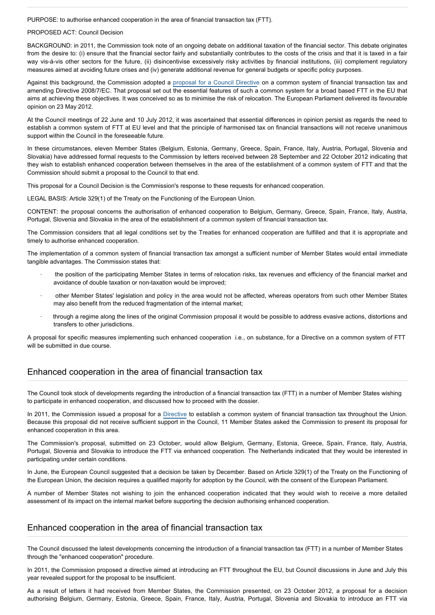PURPOSE: to authorise enhanced cooperation in the area of financial transaction tax (FTT).

#### PROPOSED ACT: Council Decision

BACKGROUND: in 2011, the Commission took note of an ongoing debate on additional taxation of the financial sector. This debate originates from the desire to: (i) ensure that the financial sector fairly and substantially contributes to the costs of the crisis and that it is taxed in a fair way vis-à-vis other sectors for the future, (ii) disincentivise excessively risky activities by financial institutions, (iii) complement regulatory measures aimed at avoiding future crises and (iv) generate additional revenue for general budgets or specific policy purposes.

Against this background, the Commission adopted a [proposal for a Council Directive](http://www.europarl.europa.eu/oeil/FindByProcnum.do?lang=en&procnum=CNS/2011/0261) on a common system of financial transaction tax and amending Directive 2008/7/EC. That proposal set out the essential features of such a common system for a broad based FTT in the EU that aims at achieving these objectives. It was conceived so as to minimise the risk of relocation. The European Parliament delivered its favourable opinion on 23 May 2012.

At the Council meetings of 22 June and 10 July 2012, it was ascertained that essential differences in opinion persist as regards the need to establish a common system of FTT at EU level and that the principle of harmonised tax on financial transactions will not receive unanimous support within the Council in the foreseeable future.

In these circumstances, eleven Member States (Belgium, Estonia, Germany, Greece, Spain, France, Italy, Austria, Portugal, Slovenia and Slovakia) have addressed formal requests to the Commission by letters received between 28 September and 22 October 2012 indicating that they wish to establish enhanced cooperation between themselves in the area of the establishment of a common system of FTT and that the Commission should submit a proposal to the Council to that end.

This proposal for a Council Decision is the Commission's response to these requests for enhanced cooperation.

LEGAL BASIS: Article 329(1) of the Treaty on the Functioning of the European Union.

CONTENT: the proposal concerns the authorisation of enhanced cooperation to Belgium, Germany, Greece, Spain, France, Italy, Austria, Portugal, Slovenia and Slovakia in the area of the establishment of a common system of financial transaction tax.

The Commission considers that all legal conditions set by the Treaties for enhanced cooperation are fulfilled and that it is appropriate and timely to authorise enhanced cooperation.

The implementation of a common system of financial transaction tax amongst a sufficient number of Member States would entail immediate tangible advantages. The Commission states that:

- · the position of the participating Member States in terms of relocation risks, tax revenues and efficiency of the financial market and avoidance of double taxation or non-taxation would be improved;
- · other Member States' legislation and policy in the area would not be affected, whereas operators from such other Member States may also benefit from the reduced fragmentation of the internal market;
- · through a regime along the lines of the original Commission proposal it would be possible to address evasive actions, distortions and transfers to other jurisdictions.

A proposal for specific measures implementing such enhanced cooperation i.e., on substance, for a Directive on a common system of FTT will be submitted in due course.

### Enhanced cooperation in the area of financial transaction tax

The Council took stock of developments regarding the introduction of a financial transaction tax (FTT) in a number of Member States wishing to participate in enhanced cooperation, and discussed how to proceed with the dossier.

In 2011, the Commission issued a proposal for a [Directive](http://www.europarl.europa.eu/oeil/popups/summary.do?id=1166819&t=e&l=en) to establish a common system of financial transaction tax throughout the Union. Because this proposal did not receive sufficient support in the Council, 11 Member States asked the Commission to present its proposal for enhanced cooperation in this area.

The Commission's proposal, submitted on 23 October, would allow Belgium, Germany, Estonia, Greece, Spain, France, Italy, Austria, Portugal, Slovenia and Slovakia to introduce the FTT via enhanced cooperation. The Netherlands indicated that they would be interested in participating under certain conditions.

In June, the European Council suggested that a decision be taken by December. Based on Article 329(1) of the Treaty on the Functioning of the European Union, the decision requires a qualified majority for adoption by the Council, with the consent of the European Parliament.

A number of Member States not wishing to join the enhanced cooperation indicated that they would wish to receive a more detailed assessment of its impact on the internal market before supporting the decision authorising enhanced cooperation.

#### Enhanced cooperation in the area of financial transaction tax

The Council discussed the latest developments concerning the introduction of a financial transaction tax (FTT) in a number of Member States through the "enhanced cooperation" procedure.

In 2011, the Commission proposed a directive aimed at introducing an FTT throughout the EU, but Council discussions in June and July this year revealed support for the proposal to be insufficient.

As a result of letters it had received from Member States, the Commission presented, on 23 October 2012, a proposal for a decision authorising Belgium, Germany, Estonia, Greece, Spain, France, Italy, Austria, Portugal, Slovenia and Slovakia to introduce an FTT via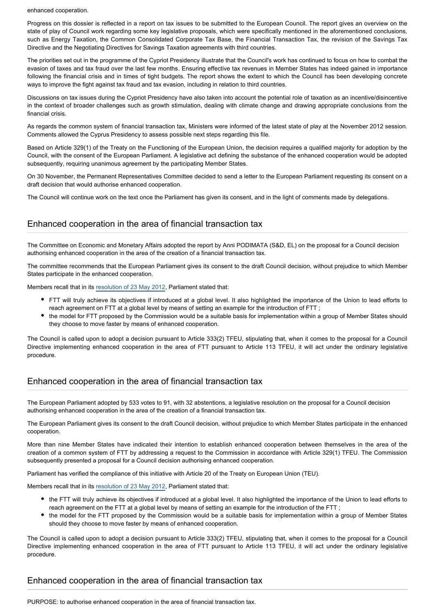enhanced cooperation.

Progress on this dossier is reflected in a report on tax issues to be submitted to the European Council. The report gives an overview on the state of play of Council work regarding some key legislative proposals, which were specifically mentioned in the aforementioned conclusions, such as Energy Taxation, the Common Consolidated Corporate Tax Base, the Financial Transaction Tax, the revision of the Savings Tax Directive and the Negotiating Directives for Savings Taxation agreements with third countries.

The priorities set out in the programme of the Cypriot Presidency illustrate that the Council's work has continued to focus on how to combat the evasion of taxes and tax fraud over the last few months. Ensuring effective tax revenues in Member States has indeed gained in importance following the financial crisis and in times of tight budgets. The report shows the extent to which the Council has been developing concrete ways to improve the fight against tax fraud and tax evasion, including in relation to third countries.

Discussions on tax issues during the Cypriot Presidency have also taken into account the potential role of taxation as an incentive/disincentive in the context of broader challenges such as growth stimulation, dealing with climate change and drawing appropriate conclusions from the financial crisis.

As regards the common system of financial transaction tax, Ministers were informed of the latest state of play at the November 2012 session. Comments allowed the Cyprus Presidency to assess possible next steps regarding this file.

Based on Article 329(1) of the Treaty on the Functioning of the European Union, the decision requires a qualified majority for adoption by the Council, with the consent of the European Parliament. A legislative act defining the substance of the enhanced cooperation would be adopted subsequently, requiring unanimous agreement by the participating Member States.

On 30 November, the Permanent Representatives Committee decided to send a letter to the European Parliament requesting its consent on a draft decision that would authorise enhanced cooperation.

The Council will continue work on the text once the Parliament has given its consent, and in the light of comments made by delegations.

#### Enhanced cooperation in the area of financial transaction tax

The Committee on Economic and Monetary Affairs adopted the report by Anni PODIMATA (S&D, EL) on the proposal for a Council decision authorising enhanced cooperation in the area of the creation of a financial transaction tax.

The committee recommends that the European Parliament gives its consent to the draft Council decision, without prejudice to which Member States participate in the enhanced cooperation.

Members recall that in its [resolution of 23 May 2012](http://www.europarl.europa.eu/oeil/popups/ficheprocedure.do?lang=en&reference=2011/0261(CNS)), Parliament stated that:

- FTT will truly achieve its objectives if introduced at a global level. It also highlighted the importance of the Union to lead efforts to reach agreement on FTT at a global level by means of setting an example for the introduction of FTT ;
- the model for FTT proposed by the Commission would be a suitable basis for implementation within a group of Member States should they choose to move faster by means of enhanced cooperation.

The Council is called upon to adopt a decision pursuant to Article 333(2) TFEU, stipulating that, when it comes to the proposal for a Council Directive implementing enhanced cooperation in the area of FTT pursuant to Article 113 TFEU, it will act under the ordinary legislative procedure.

### Enhanced cooperation in the area of financial transaction tax

The European Parliament adopted by 533 votes to 91, with 32 abstentions, a legislative resolution on the proposal for a Council decision authorising enhanced cooperation in the area of the creation of a financial transaction tax.

The European Parliament gives its consent to the draft Council decision, without prejudice to which Member States participate in the enhanced cooperation.

More than nine Member States have indicated their intention to establish enhanced cooperation between themselves in the area of the creation of a common system of FTT by addressing a request to the Commission in accordance with Article 329(1) TFEU. The Commission subsequently presented a proposal for a Council decision authorising enhanced cooperation.

Parliament has verified the compliance of this initiative with Article 20 of the Treaty on European Union (TEU).

Members recall that in its [resolution of 23 May 2012](http://www.europarl.europa.eu/oeil/popups/ficheprocedure.do?lang=en&reference=2011/0261(CNS)), Parliament stated that:

- the FTT will truly achieve its objectives if introduced at a global level. It also highlighted the importance of the Union to lead efforts to reach agreement on the FTT at a global level by means of setting an example for the introduction of the FTT ;
- the model for the FTT proposed by the Commission would be a suitable basis for implementation within a group of Member States should they choose to move faster by means of enhanced cooperation.

The Council is called upon to adopt a decision pursuant to Article 333(2) TFEU, stipulating that, when it comes to the proposal for a Council Directive implementing enhanced cooperation in the area of FTT pursuant to Article 113 TFEU, it will act under the ordinary legislative procedure.

### Enhanced cooperation in the area of financial transaction tax